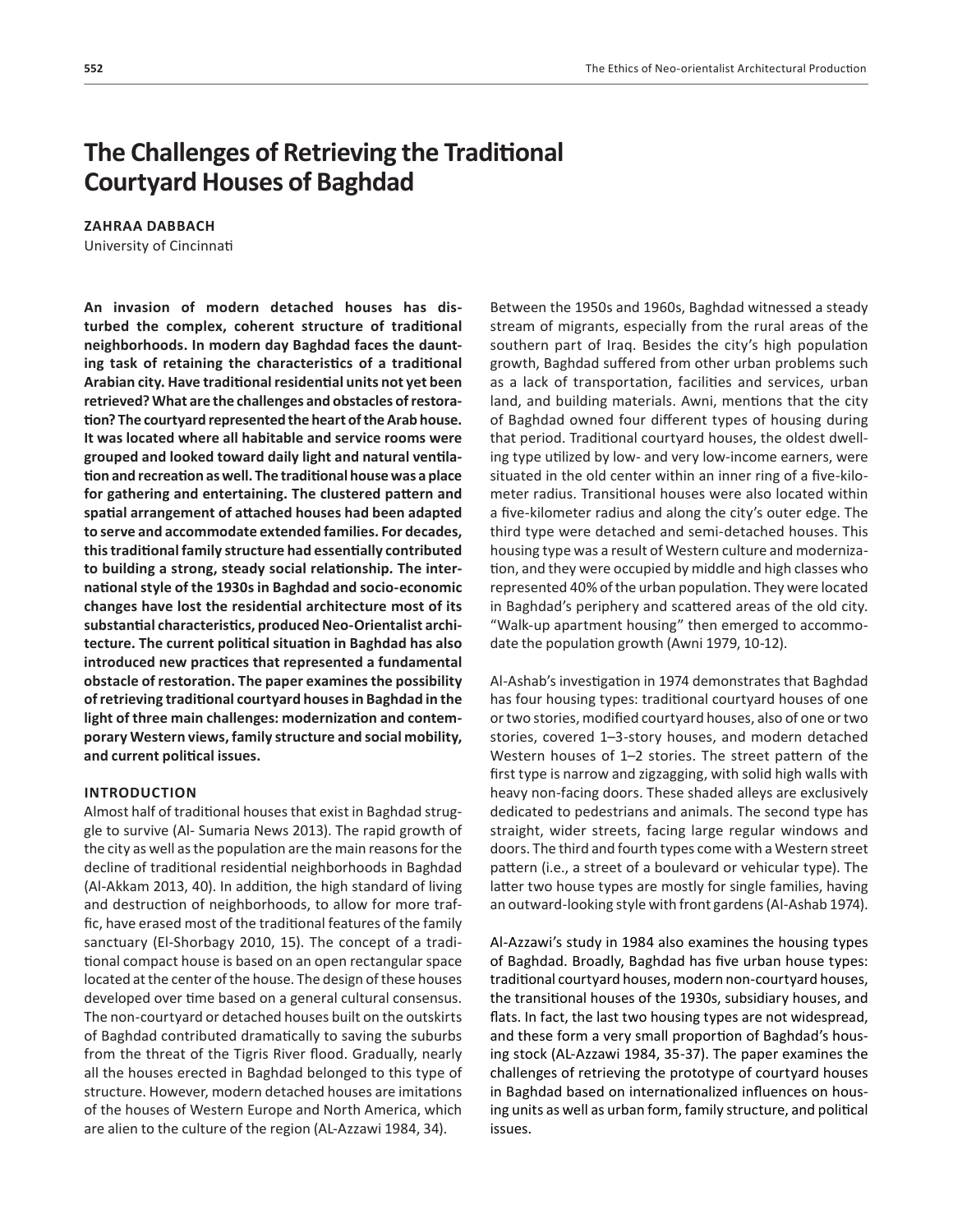# **The Challenges of Retrieving the Traditional Courtyard Houses of Baghdad**

### **ZAHRAA DABBACH**

University of Cincinnati

**An invasion of modern detached houses has disturbed the complex, coherent structure of traditional neighborhoods. In modern day Baghdad faces the daunting task of retaining the characteristics of a traditional Arabian city. Have traditionalresidential units not yet been retrieved? What are the challenges and obstacles of restoration? The courtyard represented the heart oftheArab house. It was located where all habitable and service rooms were grouped and looked toward daily light and natural ventilation and recreation as well. The traditional house was a place for gathering and entertaining. The clustered pattern and spatial arrangement of attached houses had been adapted to serve and accommodate extended families. For decades, thistraditional family structure had essentially contributed to building a strong, steady social relationship. The internationalstyle of the 1930sin Baghdad and socio-economic changes have lost the residential architecture most of its substantial characteristics, producedNeo-Orientalist architecture. The current political situation in Baghdad has also introduced new practices that represented a fundamental obstacle of restoration. The paper examinesthe possibility ofretrieving traditional courtyard housesin Baghdad in the light of three main challenges: modernization and contemporary Western views, family structure and social mobility, and current political issues.**

#### **INTRODUCTION**

Almost half of traditional houses that exist in Baghdad struggle to survive (Al- Sumaria News 2013). The rapid growth of the city as well as the population are the main reasons for the decline of traditional residential neighborhoods in Baghdad (Al-Akkam 2013, 40). In addition, the high standard of living and destruction of neighborhoods, to allow for more traffic, have erased most of the traditional features of the family sanctuary (El-Shorbagy 2010, 15). The concept of a traditional compact house is based on an open rectangular space located at the center of the house. The design of these houses developed over time based on a general cultural consensus. The non-courtyard or detached houses built on the outskirts of Baghdad contributed dramatically to saving the suburbs from the threat of the Tigris River flood. Gradually, nearly all the houses erected in Baghdad belonged to this type of structure. However, modern detached houses are imitations of the houses of Western Europe and North America, which are alien to the culture of the region (AL-Azzawi 1984, 34).

Between the 1950s and 1960s, Baghdad witnessed a steady stream of migrants, especially from the rural areas of the southern part of Iraq. Besides the city's high population growth, Baghdad suffered from other urban problems such as a lack of transportation, facilities and services, urban land, and building materials. Awni, mentions that the city of Baghdad owned four different types of housing during that period. Traditional courtyard houses, the oldest dwelling type utilized by low- and very low-income earners, were situated in the old center within an inner ring of a five-kilometer radius. Transitional houses were also located within a five-kilometer radius and along the city's outer edge. The third type were detached and semi-detached houses. This housing type was a result of Western culture and modernization, and they were occupied by middle and high classes who represented 40% of the urban population. They were located in Baghdad's periphery and scattered areas of the old city. "Walk-up apartment housing" then emerged to accommodate the population growth (Awni 1979, 10-12).

Al-Ashab's investigation in 1974 demonstrates that Baghdad has four housing types: traditional courtyard houses of one or two stories, modified courtyard houses, also of one or two stories, covered 1–3-story houses, and modern detached Western houses of 1–2 stories. The street pattern of the first type is narrow and zigzagging, with solid high walls with heavy non-facing doors. These shaded alleys are exclusively dedicated to pedestrians and animals. The second type has straight, wider streets, facing large regular windows and doors. The third and fourth types come with a Western street pattern (i.e., a street of a boulevard or vehicular type). The latter two house types are mostly for single families, having an outward-looking style with front gardens (Al-Ashab 1974).

Al-Azzawi's study in 1984 also examines the housing types of Baghdad. Broadly, Baghdad has five urban house types: traditional courtyard houses, modern non-courtyard houses, the transitional houses of the 1930s, subsidiary houses, and flats. In fact, the last two housing types are not widespread, and these form a very small proportion of Baghdad's housing stock (AL-Azzawi 1984, 35-37). The paper examines the challenges of retrieving the prototype of courtyard houses in Baghdad based on internationalized influences on housing units as well as urban form, family structure, and political issues.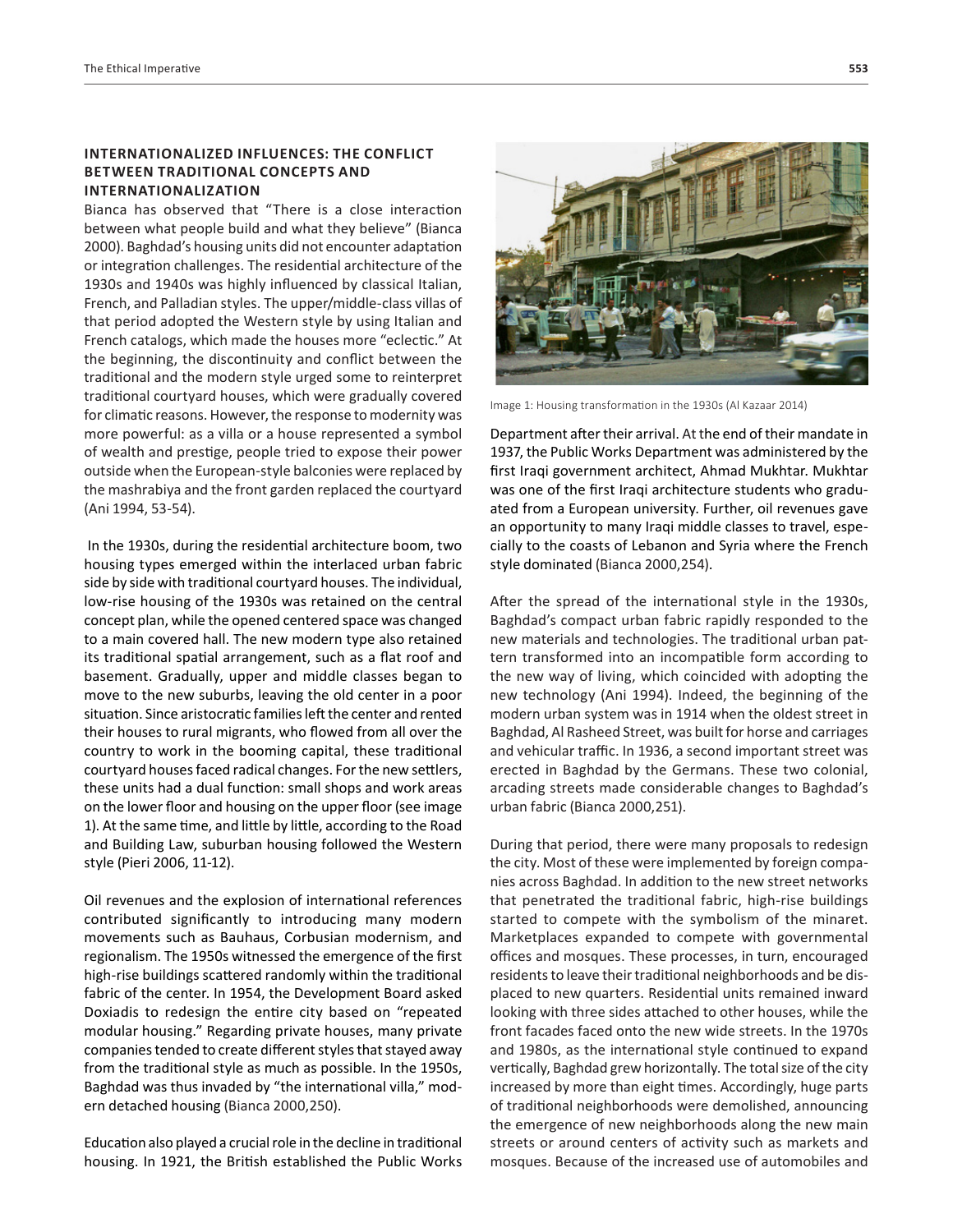## **INTERNATIONALIZED INFLUENCES: THE CONFLICT BETWEEN TRADITIONAL CONCEPTS AND INTERNATIONALIZATION**

Bianca has observed that "There is a close interaction between what people build and what they believe" (Bianca 2000). Baghdad's housing units did not encounter adaptation or integration challenges. The residential architecture of the 1930s and 1940s was highly influenced by classical Italian, French, and Palladian styles. The upper/middle-class villas of that period adopted the Western style by using Italian and French catalogs, which made the houses more "eclectic." At the beginning, the discontinuity and conflict between the traditional and the modern style urged some to reinterpret traditional courtyard houses, which were gradually covered for climatic reasons. However, the response to modernity was more powerful: as a villa or a house represented a symbol of wealth and prestige, people tried to expose their power outside when the European-style balconies were replaced by the mashrabiya and the front garden replaced the courtyard (Ani 1994, 53-54).

In the 1930s, during the residential architecture boom, two housing types emerged within the interlaced urban fabric side by side with traditional courtyard houses. The individual, low-rise housing of the 1930s was retained on the central concept plan, while the opened centered space was changed to a main covered hall. The new modern type also retained its traditional spatial arrangement, such as a flat roof and basement. Gradually, upper and middle classes began to move to the new suburbs, leaving the old center in a poor situation. Since aristocratic families left the center and rented their houses to rural migrants, who flowed from all over the country to work in the booming capital, these traditional courtyard houses faced radical changes. For the new settlers, these units had a dual function: small shops and work areas on the lower floor and housing on the upper floor (see image 1). At the same time, and little by little, according to the Road and Building Law, suburban housing followed the Western style (Pieri 2006, 11-12).

Oil revenues and the explosion of international references contributed significantly to introducing many modern movements such as Bauhaus, Corbusian modernism, and regionalism. The 1950s witnessed the emergence of the first high-rise buildings scattered randomly within the traditional fabric of the center. In 1954, the Development Board asked Doxiadis to redesign the entire city based on "repeated modular housing." Regarding private houses, many private companies tended to create different styles that stayed away from the traditional style as much as possible. In the 1950s, Baghdad was thus invaded by "the international villa," modern detached housing (Bianca 2000,250).

Education also played a crucial role in the decline in traditional housing. In 1921, the British established the Public Works



Image 1: Housing transformation in the 1930s (Al Kazaar 2014)

Department after their arrival. At the end of their mandate in 1937, the Public Works Department was administered by the first Iraqi government architect, Ahmad Mukhtar. Mukhtar was one of the first Iraqi architecture students who graduated from a European university. Further, oil revenues gave an opportunity to many Iraqi middle classes to travel, especially to the coasts of Lebanon and Syria where the French style dominated (Bianca 2000,254).

After the spread of the international style in the 1930s, Baghdad's compact urban fabric rapidly responded to the new materials and technologies. The traditional urban pattern transformed into an incompatible form according to the new way of living, which coincided with adopting the new technology (Ani 1994). Indeed, the beginning of the modern urban system was in 1914 when the oldest street in Baghdad, Al Rasheed Street, was built for horse and carriages and vehicular traffic. In 1936, a second important street was erected in Baghdad by the Germans. These two colonial, arcading streets made considerable changes to Baghdad's urban fabric (Bianca 2000,251).

During that period, there were many proposals to redesign the city. Most of these were implemented by foreign companies across Baghdad. In addition to the new street networks that penetrated the traditional fabric, high-rise buildings started to compete with the symbolism of the minaret. Marketplaces expanded to compete with governmental offices and mosques. These processes, in turn, encouraged residents to leave their traditional neighborhoods and be displaced to new quarters. Residential units remained inward looking with three sides attached to other houses, while the front facades faced onto the new wide streets. In the 1970s and 1980s, as the international style continued to expand vertically, Baghdad grew horizontally. The total size of the city increased by more than eight times. Accordingly, huge parts of traditional neighborhoods were demolished, announcing the emergence of new neighborhoods along the new main streets or around centers of activity such as markets and mosques. Because of the increased use of automobiles and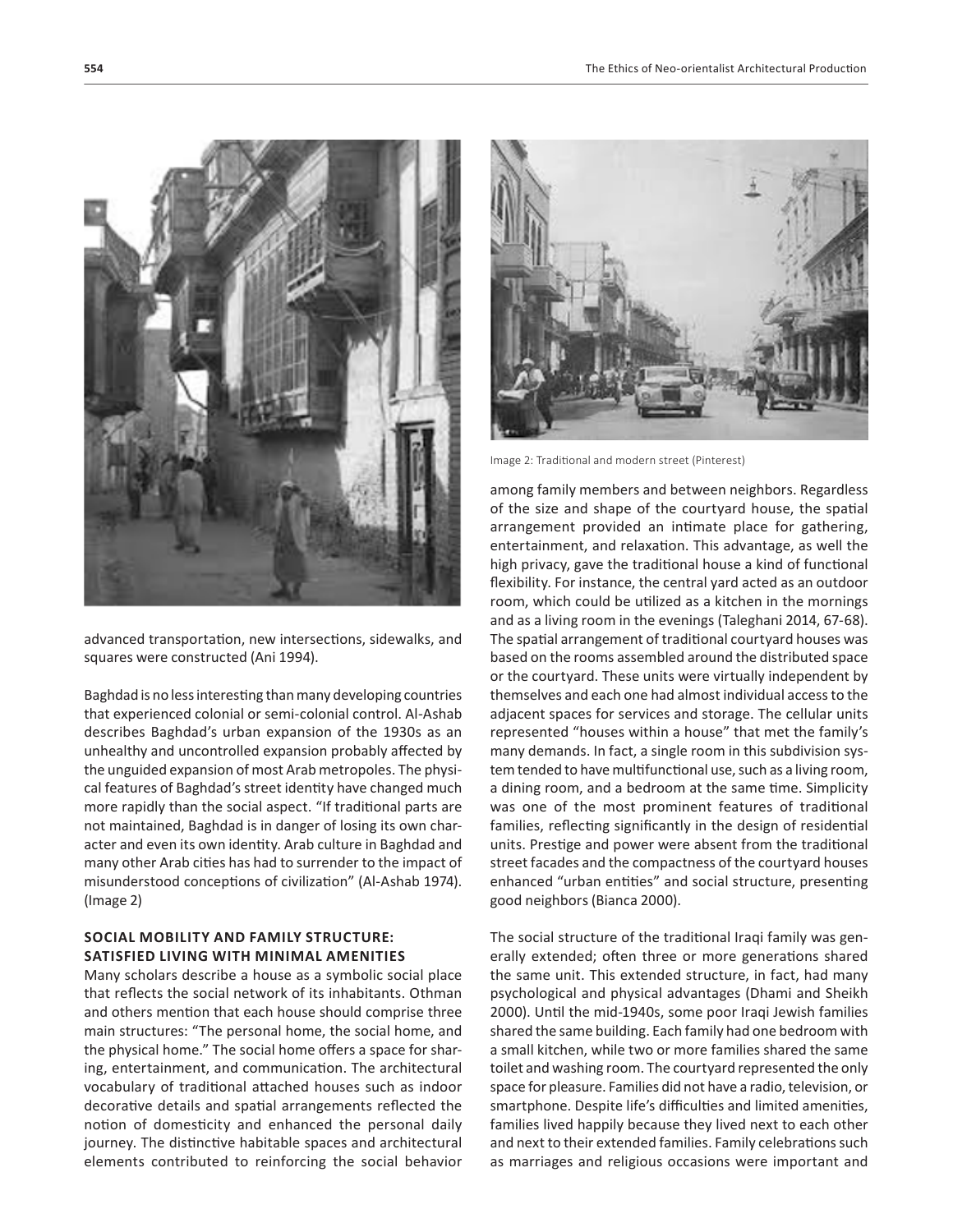

advanced transportation, new intersections, sidewalks, and squares were constructed (Ani 1994).

Baghdad is no less interesting than many developing countries that experienced colonial or semi-colonial control. Al-Ashab describes Baghdad's urban expansion of the 1930s as an unhealthy and uncontrolled expansion probably affected by the unguided expansion of most Arab metropoles. The physical features of Baghdad's street identity have changed much more rapidly than the social aspect. "If traditional parts are not maintained, Baghdad is in danger of losing its own character and even its own identity. Arab culture in Baghdad and many other Arab cities has had to surrender to the impact of misunderstood conceptions of civilization" (Al-Ashab 1974). (Image 2)

# **SOCIAL MOBILITY AND FAMILY STRUCTURE: SATISFIED LIVING WITH MINIMAL AMENITIES**

Many scholars describe a house as a symbolic social place that reflects the social network of its inhabitants. Othman and others mention that each house should comprise three main structures: "The personal home, the social home, and the physical home." The social home offers a space for sharing, entertainment, and communication. The architectural vocabulary of traditional attached houses such as indoor decorative details and spatial arrangements reflected the notion of domesticity and enhanced the personal daily journey. The distinctive habitable spaces and architectural elements contributed to reinforcing the social behavior



Image 2: Traditional and modern street (Pinterest)

among family members and between neighbors. Regardless of the size and shape of the courtyard house, the spatial arrangement provided an intimate place for gathering, entertainment, and relaxation. This advantage, as well the high privacy, gave the traditional house a kind of functional flexibility. For instance, the central yard acted as an outdoor room, which could be utilized as a kitchen in the mornings and as a living room in the evenings (Taleghani 2014, 67-68). The spatial arrangement of traditional courtyard houses was based on the rooms assembled around the distributed space or the courtyard. These units were virtually independent by themselves and each one had almost individual access to the adjacent spaces for services and storage. The cellular units represented "houses within a house" that met the family's many demands. In fact, a single room in this subdivision system tended to have multifunctional use, such as a living room, a dining room, and a bedroom at the same time. Simplicity was one of the most prominent features of traditional families, reflecting significantly in the design of residential units. Prestige and power were absent from the traditional street facades and the compactness of the courtyard houses enhanced "urban entities" and social structure, presenting good neighbors (Bianca 2000).

The social structure of the traditional Iraqi family was generally extended; often three or more generations shared the same unit. This extended structure, in fact, had many psychological and physical advantages (Dhami and Sheikh 2000). Until the mid-1940s, some poor Iraqi Jewish families shared the same building. Each family had one bedroom with a small kitchen, while two or more families shared the same toilet and washing room. The courtyard represented the only space for pleasure. Families did not have a radio, television, or smartphone. Despite life's difficulties and limited amenities, families lived happily because they lived next to each other and next to their extended families. Family celebrations such as marriages and religious occasions were important and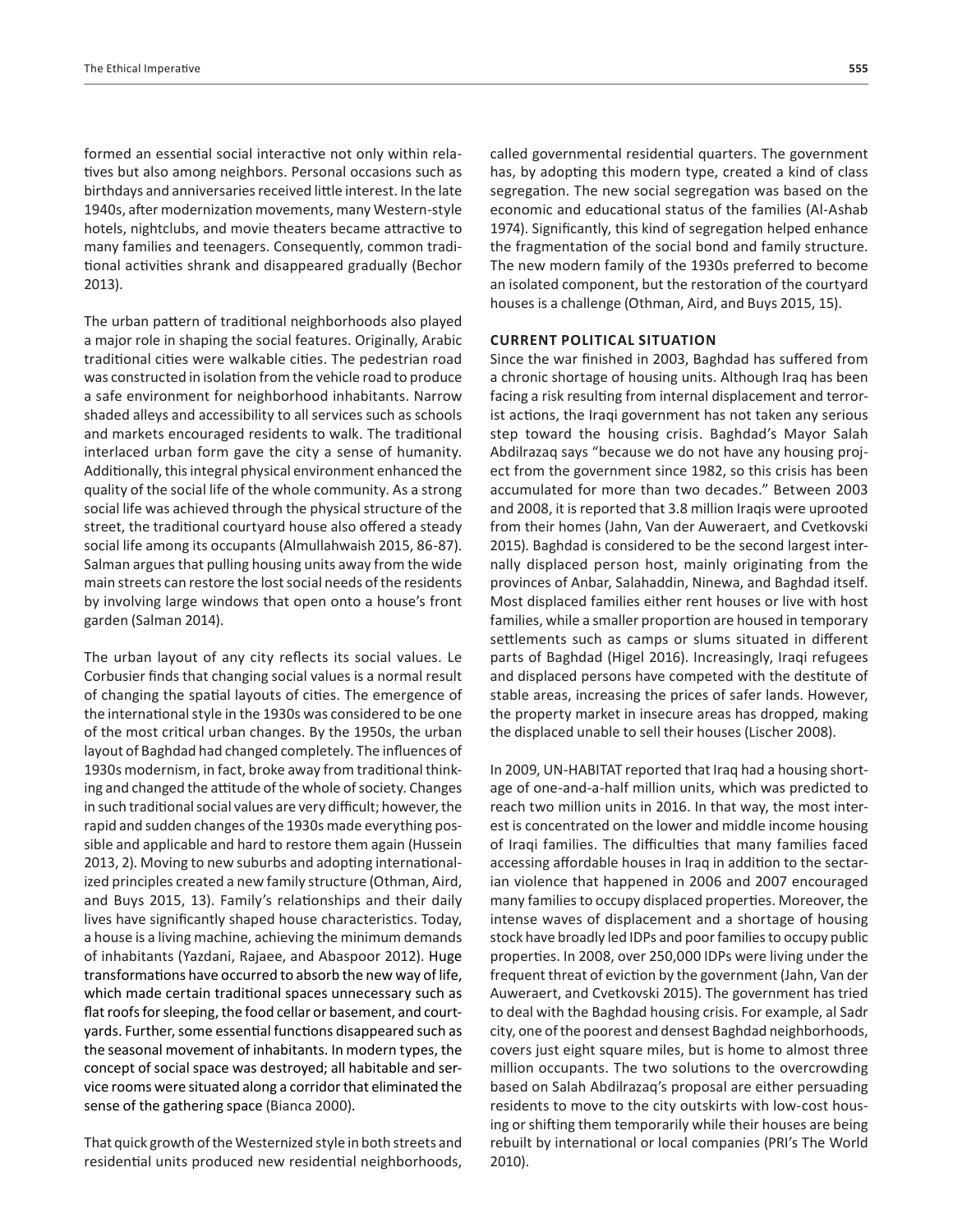formed an essential social interactive not only within relatives but also among neighbors. Personal occasions such as birthdays and anniversaries received little interest. In the late 1940s, after modernization movements, many Western-style hotels, nightclubs, and movie theaters became attractive to many families and teenagers. Consequently, common traditional activities shrank and disappeared gradually (Bechor 2013).

The urban pattern of traditional neighborhoods also played a major role in shaping the social features. Originally, Arabic traditional cities were walkable cities. The pedestrian road was constructed in isolation from the vehicle road to produce a safe environment for neighborhood inhabitants. Narrow shaded alleys and accessibility to all services such as schools and markets encouraged residents to walk. The traditional interlaced urban form gave the city a sense of humanity. Additionally, this integral physical environment enhanced the quality of the social life of the whole community. As a strong social life was achieved through the physical structure of the street, the traditional courtyard house also offered a steady social life among its occupants (Almullahwaish 2015, 86-87). Salman argues that pulling housing units away from the wide main streets can restore the lost social needs of the residents by involving large windows that open onto a house's front garden (Salman 2014).

The urban layout of any city reflects its social values. Le Corbusier finds that changing social values is a normal result of changing the spatial layouts of cities. The emergence of the international style in the 1930s was considered to be one of the most critical urban changes. By the 1950s, the urban layout of Baghdad had changed completely. The influences of 1930s modernism, in fact, broke away from traditional thinking and changed the attitude of the whole of society. Changes in such traditional social values are very difficult; however, the rapid and sudden changes of the 1930s made everything possible and applicable and hard to restore them again (Hussein 2013, 2). Moving to new suburbs and adopting internationalized principles created a new family structure (Othman, Aird, and Buys 2015, 13). Family's relationships and their daily lives have significantly shaped house characteristics. Today, a house is a living machine, achieving the minimum demands of inhabitants (Yazdani, Rajaee, and Abaspoor 2012). Huge transformations have occurred to absorb the new way of life, which made certain traditional spaces unnecessary such as flat roofs for sleeping, the food cellar or basement, and courtyards. Further, some essential functions disappeared such as the seasonal movement of inhabitants. In modern types, the concept of social space was destroyed; all habitable and service rooms were situated along a corridor that eliminated the sense of the gathering space (Bianca 2000).

That quick growth of the Westernized style in both streets and residential units produced new residential neighborhoods, called governmental residential quarters. The government has, by adopting this modern type, created a kind of class segregation. The new social segregation was based on the economic and educational status of the families (Al-Ashab 1974). Significantly, this kind of segregation helped enhance the fragmentation of the social bond and family structure. The new modern family of the 1930s preferred to become an isolated component, but the restoration of the courtyard houses is a challenge (Othman, Aird, and Buys 2015, 15).

#### **CURRENT POLITICAL SITUATION**

Since the war finished in 2003, Baghdad has suffered from a chronic shortage of housing units. Although Iraq has been facing a risk resulting from internal displacement and terrorist actions, the Iraqi government has not taken any serious step toward the housing crisis. Baghdad's Mayor Salah Abdilrazaq says "because we do not have any housing project from the government since 1982, so this crisis has been accumulated for more than two decades." Between 2003 and 2008, it is reported that 3.8 million Iraqis were uprooted from their homes (Jahn, Van der Auweraert, and Cvetkovski 2015). Baghdad is considered to be the second largest internally displaced person host, mainly originating from the provinces of Anbar, Salahaddin, Ninewa, and Baghdad itself. Most displaced families either rent houses or live with host families, while a smaller proportion are housed in temporary settlements such as camps or slums situated in different parts of Baghdad (Higel 2016). Increasingly, Iraqi refugees and displaced persons have competed with the destitute of stable areas, increasing the prices of safer lands. However, the property market in insecure areas has dropped, making the displaced unable to sell their houses (Lischer 2008).

In 2009, UN-HABITAT reported that Iraq had a housing shortage of one-and-a-half million units, which was predicted to reach two million units in 2016. In that way, the most interest is concentrated on the lower and middle income housing of Iraqi families. The difficulties that many families faced accessing affordable houses in Iraq in addition to the sectarian violence that happened in 2006 and 2007 encouraged many families to occupy displaced properties. Moreover, the intense waves of displacement and a shortage of housing stock have broadly led IDPs and poor families to occupy public properties. In 2008, over 250,000 IDPs were living under the frequent threat of eviction by the government (Jahn, Van der Auweraert, and Cvetkovski 2015). The government has tried to deal with the Baghdad housing crisis. For example, al Sadr city, one of the poorest and densest Baghdad neighborhoods, covers just eight square miles, but is home to almost three million occupants. The two solutions to the overcrowding based on Salah Abdilrazaq's proposal are either persuading residents to move to the city outskirts with low-cost housing or shifting them temporarily while their houses are being rebuilt by international or local companies (PRI's The World 2010).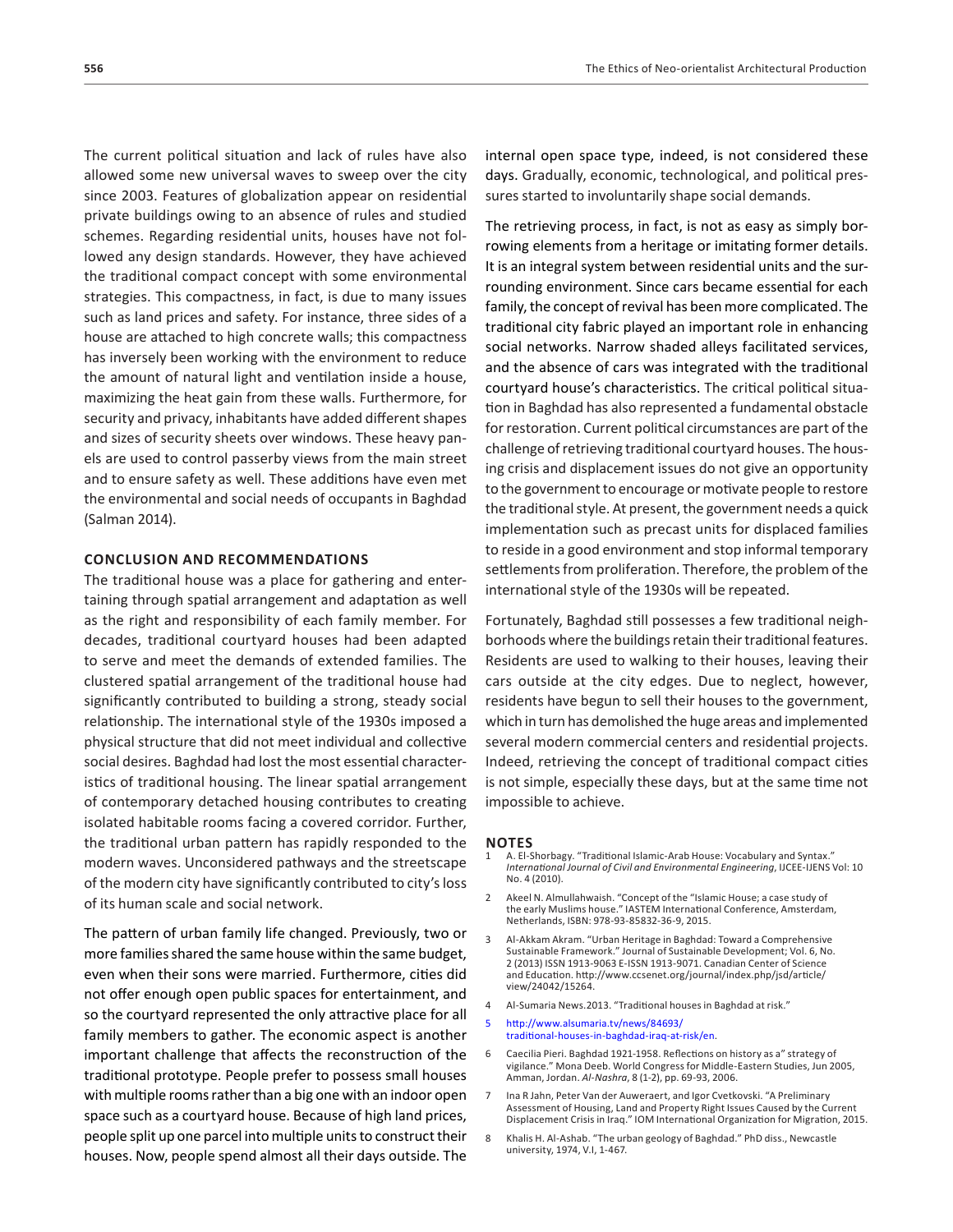The current political situation and lack of rules have also allowed some new universal waves to sweep over the city since 2003. Features of globalization appear on residential private buildings owing to an absence of rules and studied schemes. Regarding residential units, houses have not followed any design standards. However, they have achieved the traditional compact concept with some environmental strategies. This compactness, in fact, is due to many issues such as land prices and safety. For instance, three sides of a house are attached to high concrete walls; this compactness has inversely been working with the environment to reduce the amount of natural light and ventilation inside a house, maximizing the heat gain from these walls. Furthermore, for security and privacy, inhabitants have added different shapes and sizes of security sheets over windows. These heavy panels are used to control passerby views from the main street and to ensure safety as well. These additions have even met the environmental and social needs of occupants in Baghdad (Salman 2014).

#### **CONCLUSION AND RECOMMENDATIONS**

The traditional house was a place for gathering and entertaining through spatial arrangement and adaptation as well as the right and responsibility of each family member. For decades, traditional courtyard houses had been adapted to serve and meet the demands of extended families. The clustered spatial arrangement of the traditional house had significantly contributed to building a strong, steady social relationship. The international style of the 1930s imposed a physical structure that did not meet individual and collective social desires. Baghdad had lost the most essential characteristics of traditional housing. The linear spatial arrangement of contemporary detached housing contributes to creating isolated habitable rooms facing a covered corridor. Further, the traditional urban pattern has rapidly responded to the modern waves. Unconsidered pathways and the streetscape of the modern city have significantly contributed to city's loss of its human scale and social network.

The pattern of urban family life changed. Previously, two or more families shared the same house within the same budget, even when their sons were married. Furthermore, cities did not offer enough open public spaces for entertainment, and so the courtyard represented the only attractive place for all family members to gather. The economic aspect is another important challenge that affects the reconstruction of the traditional prototype. People prefer to possess small houses with multiple rooms rather than a big one with an indoor open space such as a courtyard house. Because of high land prices, people split up one parcel into multiple units to construct their houses. Now, people spend almost all their days outside. The

internal open space type, indeed, is not considered these days. Gradually, economic, technological, and political pressures started to involuntarily shape social demands.

The retrieving process, in fact, is not as easy as simply borrowing elements from a heritage or imitating former details. It is an integral system between residential units and the surrounding environment. Since cars became essential for each family, the concept of revival has been more complicated. The traditional city fabric played an important role in enhancing social networks. Narrow shaded alleys facilitated services, and the absence of cars was integrated with the traditional courtyard house's characteristics. The critical political situation in Baghdad has also represented a fundamental obstacle for restoration. Current political circumstances are part of the challenge of retrieving traditional courtyard houses. The housing crisis and displacement issues do not give an opportunity to the government to encourage or motivate people to restore the traditional style. At present, the government needs a quick implementation such as precast units for displaced families to reside in a good environment and stop informal temporary settlements from proliferation. Therefore, the problem of the international style of the 1930s will be repeated.

Fortunately, Baghdad still possesses a few traditional neighborhoods where the buildings retain their traditional features. Residents are used to walking to their houses, leaving their cars outside at the city edges. Due to neglect, however, residents have begun to sell their houses to the government, which in turn has demolished the huge areas and implemented several modern commercial centers and residential projects. Indeed, retrieving the concept of traditional compact cities is not simple, especially these days, but at the same time not impossible to achieve.

#### **NOTES**

- 1 A. El-Shorbagy. "Traditional Islamic-Arab House: Vocabulary and Syntax." *International Journal of Civil and Environmental Engineering*, IJCEE-IJENS Vol: 10 No. 4 (2010).
- 2 Akeel N. Almullahwaish. "Concept of the "Islamic House; a case study of the early Muslims house." IASTEM International Conference, Amsterdam, Netherlands, ISBN: 978-93-85832-36-9, 2015.
- 3 Al-Akkam Akram. "Urban Heritage in Baghdad: Toward a Comprehensive Sustainable Framework." Journal of Sustainable Development; Vol. 6, No. 2 (2013) ISSN 1913-9063 E-ISSN 1913-9071. Canadian Center of Science and Education. http://www.ccsenet.org/journal/index.php/jsd/article/ view/24042/15264.
- 4 Al-Sumaria News.2013. "Traditional houses in Baghdad at risk."
- 5 http://www.alsumaria.tv/news/84693/ traditional-houses-in-baghdad-iraq-at-risk/en.
- 6 Caecilia Pieri. Baghdad 1921-1958. Reflections on history as a" strategy of vigilance." Mona Deeb. World Congress for Middle-Eastern Studies, Jun 2005, Amman, Jordan. *Al-Nashra*, 8 (1-2), pp. 69-93, 2006.
- 7 Ina R Jahn, Peter Van der Auweraert, and Igor Cvetkovski. "A Preliminary Assessment of Housing, Land and Property Right Issues Caused by the Current Displacement Crisis in Iraq." IOM International Organization for Migration, 2015.
- 8 Khalis H. Al-Ashab. "The urban geology of Baghdad." PhD diss., Newcastle university, 1974, V.I, 1-467.